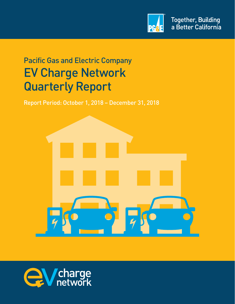

# Pacific Gas and Electric Company EV Charge Network Quarterly Report

Report Period: October 1, 2018 – December 31, 2018



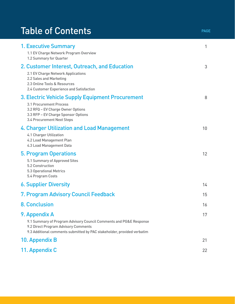# Table of Contents **PAGE**

| <b>1. Executive Summary</b><br>1.1 EV Charge Network Program Overview<br>1.2 Summary for Quarter                                                                                                       | 1  |
|--------------------------------------------------------------------------------------------------------------------------------------------------------------------------------------------------------|----|
| 2. Customer Interest, Outreach, and Education<br>2.1 EV Charge Network Applications<br>2.2 Sales and Marketing<br>2.3 Online Tools & Resources<br>2.4 Customer Experience and Satisfaction             | 3  |
| 3. Electric Vehicle Supply Equipment Procurement<br>3.1 Procurement Process<br>3.2 RFQ - EV Charge Owner Options<br>3.3 RFP - EV Charge Sponsor Options<br>3.4 Procurement Next Steps                  | 8  |
| 4. Charger Utilization and Load Management<br>4.1 Charger Utilization<br>4.2 Load Management Plan<br>4.3 Load Management Data                                                                          | 10 |
| <b>5. Program Operations</b><br>5.1 Summary of Approved Sites<br>5.2 Construction<br><b>5.3 Operational Metrics</b><br>5.4 Program Costs                                                               | 12 |
| <b>6. Supplier Diversity</b>                                                                                                                                                                           | 14 |
| 7. Program Advisory Council Feedback                                                                                                                                                                   | 15 |
| <b>8. Conclusion</b>                                                                                                                                                                                   | 16 |
| 9. Appendix A<br>9.1 Summary of Program Advisory Council Comments and PG&E Response<br>9.2 Direct Program Advisory Comments<br>9.3 Additional comments submitted by PAC stakeholder, provided verbatim | 17 |
| 10. Appendix B                                                                                                                                                                                         | 21 |
| 11. Appendix C                                                                                                                                                                                         | 22 |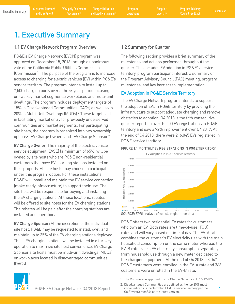<span id="page-2-0"></span>

## 1. Executive Summary

## 1.1 EV Charge Network Program Overview

PG&E's EV Charge Network (EVCN) program was approved on December 15, 2016 through a unanimous vote of the California Public Utilities Commission (Commission).1 The purpose of the program is to increase access to charging for electric vehicles (EV) within PG&E's service territory. The program intends to install up to 7,500 charging ports over a three-year period focusing on two key market segments: workplaces and multi-unit dwellings. The program includes deployment targets of 15% in Disadvantaged Communities (DACs) as well as in 20% in Multi-Unit Dwellings (MUDs).2 These targets aid in facilitating market entry for previously underserved communities and market segments. For participating site hosts, the program is organized into two ownership options: "EV Charge Owner" and "EV Charge Sponsor."

**EV Charge Owner:** The majority of the electric vehicle service equipment (EVSE) (a minimum of 65%) will be owned by site hosts who are PG&E non-residential customers that have EV charging stations installed on their property. All site hosts may choose to participate under this program option. For these installations, PG&E will install and maintain the EV service connection (make ready infrastructure) to support their use. The site host will be responsible for buying and installing the EV charging stations. At these locations, rebates will be offered to site hosts for the EV charging stations. The rebates will be paid after the charging stations are installed and operational.

**EV Charge Sponsor:** At the discretion of the individual site host, PG&E may be requested to install, own, and maintain up to 35% of the EV charging stations deployed. These EV charging stations will be installed in a turnkey operation to maximize site host convenience. EV Charge Sponsor site hosts must be multi-unit dwellings (MUDs) or workplaces located in disadvantaged communities (DACs).

## 1.2 Summary for Quarter

The following section provides a brief summary of the milestones and actions performed throughout the quarter. This includes EV adoption in PG&E's service territory, program participant interest, a summary of the Program Advisory Council (PAC) meeting, program milestones, and key barriers to implementation.

## EV Adoption in PG&E Service Territory

The EV Charge Network program intends to support the adoption of EVs in PG&E territory by providing the infrastructure to support adequate charging and remove obstacles to adoption. Q4 2018 is the fifth consecutive quarter reporting over 10,000 EV registrations in PG&E territory and saw a 92% improvement over Q4 2017. At the end of Q4 2018, there were 216,845 EVs registered in PG&E service territory.



FIGURE 1.1 MONTHLY EV REGISTRATIONS IN PG&E TERRITORY

PG&E offers two residential EV rates for customers who own an EV. Both rates are time-of-use (TOU) rates and will vary based on time of day. The EV-A rate combines the customer's EV electricity use with the main household consumption on the same meter whereas the EV-B rate tracks EV electricity consumption separately from household use through a new meter dedicated to the charging equipment. At the end of Q4 2018, 53,047 PG&E customers were enrolled in the EV-A rate and 363 customers were enrolled in the EV-B rate.





PG&E EV Charge Network Q4/2018 Report impacted census tracts within PG&E's service territory per the 1 2. Disadvantaged Communities are defined as the top 25% most impacted census tracts within PG&E's service territory per the CalEnviroScreen3.0, or the latest version.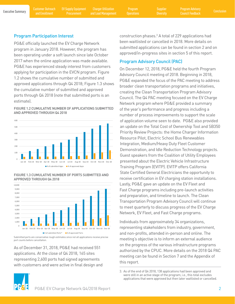EV Supply Equipment **Procurement** 

Charger Utilization and Load Management Program

**Diversity** 

### Program Participation Interest

PG&E officially launched the EV Charge Network program in January 2018. However, the program has been operating under a soft launch since late October 2017 when the online application was made available. PG&E has experienced steady interest from customers applying for participation in the EVCN program. Figure 1.2 shows the cumulative number of submitted and approved applications through Q4 2018; Figure 1.3 shows the cumulative number of submitted and approved ports through Q4 2018 (note that submitted ports is an estimate).

FIGURE 1.2 CUMULATIVE NUMBER OF APPLICATIONS SUBMITTED AND APPROVED THROUGH Q4 2018



FIGURE 1.3 CUMULATIVE NUMBER OF PORTS SUBMITTED AND APPROVED THROUGH Q4 2018



Submitted ports are conservative rough estimates since not all applications receive precise port counts before cancellation.

As of December 31, 2018, PG&E had received 551 applications. At the close of Q4 2018, 165 sites representing 2,600 ports had signed agreements with customers and were active in final design and construction phases.<sup>3</sup> A total of 229 applications had been waitlisted or cancelled in 2018. More details on submitted applications can be found in section 2 and on approved/in-progress sites in section 5 of this report.

## Program Advisory Council (PAC)

On December 12, 2018, PG&E held the fourth Program Advisory Council meeting of 2018. Beginning in 2018, PG&E expanded the focus of the PAC meeting to address broader clean transportation programs and initiatives, creating the Clean Transportation Program Advisory Council. The Q4 PAC meeting focused on the EV Charge Network program where PG&E provided a summary of the year's performance and progress including a number of process improvements to support the scale of application volume seen to date. PG&E also provided an update on the Total Cost of Ownership Tool and SB350 Priority Review Projects: the Home Charger Information Resource Pilot, Electric School Bus Renewables Integration, Medium/Heavy Duty Fleet Customer Demonstration, and Idle Reduction Technology projects. Guest speakers from the Coalition of Utility Employees presented about the Electric Vehicle Infrastructure Training Program (EVITP). EVITP offers California State Certified General Electricians the opportunity to receive certification in EV charging station installations. Lastly, PG&E gave an update on the EV Fleet and Fast Charge programs including pre-launch activities and preparation, and timeline to launch. The Clean Transportation Program Advisory Council will continue to meet quarterly to discuss progress of the EV Charge Network, EV Fleet, and Fast Charge programs.

Individuals from approximately 34 organizations, representing stakeholders from industry, government, and non-profits, attended in-person and online. The meeting's objective is to inform an external audience on the progress of the various infrastructure programs authorized by the CPUC. More details on the 2018 Q4 PAC meeting can be found in Section 7 and the Appendix of this report.



<sup>3.</sup> As of the end of Q4 2018, 138 applications had been approved and were still in an active stage of the program; i.e., this total excludes applications that were approved but then later waitlisted or cancelled.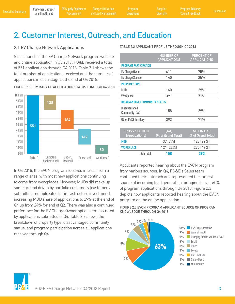Program

## <span id="page-4-0"></span>2. Customer Interest, Outreach, and Education

## 2.1 EV Charge Network Applications

Since launch of the EV Charge Network program website and online application in Q3 2017, PG&E received a total of 551 applications through Q4 2018. Table 2.1 shows the total number of applications received and the number of applications in each stage at the end of Q4 2018.



FIGURE 2.1 SUMMARY OF APPLICATION STATUS THROUGH Q4 2018

In Q4 2018, the EVCN program received interest from a range of sites, with most new applications continuing to come from workplaces. However, MUDs did make up some ground driven by portfolio customers (customers submitting multiple sites for infrastructure investment), increasing MUD share of applications to 29% at the end of Q4 up from 24% for end of Q2. There was also a continued preference for the EV Charge Owner option demonstrated by applications submitted in Q4. Table 2.2 shows the breakdown of property type, disadvantaged community status, and program participation across all applications received through Q4.

#### TABLE 2.2 APPLICANT PROFILE THROUGH Q4 2018

|                                         | <b>NUMBER OF</b><br><b>APPLICATIONS</b> | <b>PERCENT OF</b><br><b>APPLICATIONS</b> |
|-----------------------------------------|-----------------------------------------|------------------------------------------|
| <b>PROGRAM PARTICIPATION</b>            |                                         |                                          |
| <b>EV Charge Owner</b>                  | 411                                     | 75%                                      |
| <b>EV Charge Sponsor</b>                | 140                                     | 25%                                      |
| <b>PROPERTY TYPE</b>                    |                                         |                                          |
| MUD                                     | 160                                     | 29%                                      |
| Workplace                               | 391                                     | 71%                                      |
| <b>DISADVANTAGED COMMUNITY STATUS</b>   |                                         |                                          |
| Disadvantaged<br><b>Community (DAC)</b> | 158                                     | 29%                                      |
| Other PG&E Territory                    | 393                                     | 71%                                      |
|                                         |                                         |                                          |
| <b>CROSS SECTION</b><br>(Applications)  | <b>DAC</b><br>(% of Grand Total)        | <b>NOT IN DAC</b><br>(% of Grand Total)  |
| <b>MUD</b>                              | 37 (7%)                                 | 123 (22%)                                |
| <b>WORKPLACE</b>                        | 121 (22%)                               | 270 (49%)                                |
| Sub Total                               | 158                                     | 393                                      |

Applicants reported hearing about the EVCN program from various sources. In Q4, PG&E's Sales team continued their outreach and represented the largest source of incoming lead generation, bringing in over 60% of program applications through Q4 2018. Figure 2.3 depicts how applicants reported hearing about the EVCN program on the online application.

FIGURE 2.3 EVCN PROGRAM APPLICANT SOURCE OF PROGRAM KNOWLEDGE THROUGH Q4 2018



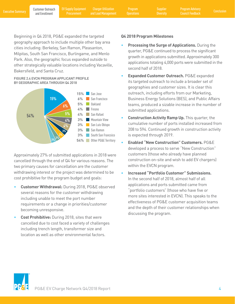**Procurement** 

[Executive Summary](#page-2-0) Poustomer Outreach [EV Supply Equipment](#page-9-0) Charger Utilization Program Supplier Program Advisory<br>Executive Summary and Enrollment Procurement and Load Management Operations Diversity Council Feedback Conclusi Charger Utilization and Load Management

Program

**Diversity** 

Beginning in Q4 2018, PG&E expanded the targeted **Q4 2018 Program Milestones**  geography approach to include multiple other bay area cities including: Berkeley, San Ramon, Pleasanton, Milpitas, South San Francisco, Burlingame, and Menlo Park. Also, the geographic focus expanded outside to other strategically valuable locations including Vacaville, Bakersfield, and Santa Cruz.

### FIGURE 2.4 EVCN PROGRAM APPLICANT PROFILE BY GEOGRAPHIC AREA THROUGH Q4 2018



Approximately 27% of submitted applications in 2018 were cancelled through the end of Q4 for various reasons. The two primary causes for cancellation are the customer withdrawing interest or the project was determined to be cost prohibitive for the program budget and goals:

- **Customer Withdrawal:** During 2018, PG&E observed several reasons for the customer withdrawing including unable to meet the port number requirements or a change in priorities/customer becoming unresponsive.
- **Cost Prohibitive:** During 2018, sites that were cancelled due to cost faced a variety of challenges including trench length, transformer size and location as well as other environmental factors.

- **Processing the Surge of Applications.** During the quarter, PG&E continued to process the significant growth in applications submitted. Approximately 300 applications totaling 4,000 ports were submitted in the second half of 2018.
- **Expanded Customer Outreach.** PG&E expanded its targeted outreach to include a broader set of geographies and customer sizes. It is clear this outreach, including efforts from our Marketing, Business Energy Solutions (BES), and Public Affairs teams, produced a sizable increase in the number of submitted applications.
- **Construction Activity Ramp Up.** This quarter, the cumulative number of ports installed increased from 208 to 594. Continued growth in construction activity is expected through 2019.
- **Enabled "New Construction" Customers.** PG&E developed a process to serve "New Construction" customers (those who already have planned construction on-site and wish to add EV chargers) within the EVCN program.
- • **Increased "Portfolio Customer" Submissions.** In the second half of 2018, almost half of all applications and ports submitted came from "portfolio customers" (those who have five or more sites interested in EVCN). This speaks to the effectiveness of PG&E customer acquisition teams and the depth of their customer relationships when discussing the program.

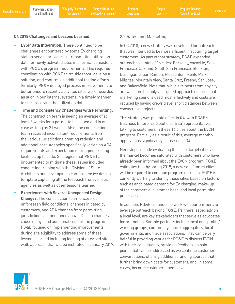### <span id="page-6-0"></span>**Q4 2018 Challenges and Lessons Learned**

- **EVSP Data Integration.** There continued to be challenges encountered by some EV charging station service providers in transmitting utilization data for newly activated sites in a format consistent with PG&E's program requirements. This requires coordination with PG&E to troubleshoot, develop a solution, and confirm via additional testing efforts. Similarly, PG&E deployed process improvements to better ensure recently activated sites were recorded as such in our internal systems in a timely manner to start receiving the utilization data.
- **Time and Consistency Challenges with Permitting.**  The construction team is seeing an average of at least 6 weeks for a permit to be issued and in one case as long as 21 weeks. Also, the construction team received inconsistent requirements from the various jurisdictions creating redesign and additional cost. Agencies specifically varied on ADA requirements and expectation of bringing existing facilities up to code. Strategies that PG&E has implemented to mitigate these issues included conducting training with the Division of State Architects and developing a comprehensive design template capturing all the feedback from various agencies as well as other lessons learned.
- **Experiences with Several Unexpected Design Changes.** The construction team uncovered unforeseen field conditions, changes initiated by customers, and ADA changes from permitting jurisdictions as mentioned above. Design changes cause delays and additional cost for the program. PG&E focused on implementing improvements during site eligibility to address some of these lessons learned including looking at a revised site walk approach that will be instituted in January 2019.

### 2.2 Sales and Marketing

In Q3 2018, a new strategy was developed for outreach that was intended to be more efficient in acquiring target customers. As part of that strategy, PG&E expanded outreach to a total of 16 cities: Berkeley, Vacaville, San Francisco, Oakland, South San Francisco, Stockton, Burlingame, San Ramon, Pleasanton, Menlo Park, Milpitas, Mountain View, Santa Cruz, Fresno, San Jose, and Bakersfield. Note that, while site hosts from any city are welcome to apply, a targeted approach ensures that marketing spend is used most effectively and costs are reduced by having crews travel short distances between consecutive projects.

This strategy was put into effect in Q4, with PG&E's Business Enterprise Solutions (BES) representatives talking to customers in these 16 cities about the EVCN program. Partially as a result of this, average monthly applications significantly increased in Q4.

Next steps include evaluating the list of target cities as the market becomes saturated with customers who have already been informed about the EVCN program. PG&E estimates that by spring 2019, a new set of target cities will be required to continue program outreach. PG&E is currently working to identify those cities based on factors such as anticipated demand for EV charging, make-up of the commercial customer base, and local permitting processes.

In addition, PG&E continues to work with our partners to leverage outreach beyond PG&E. Partners, especially on a local level, are key stakeholders that serve as advocates for promotion. Sample partners include local non-profits/ working groups, community choice aggregators, local governments, and trade associations. They can be very helpful in providing venues for PG&E to discuss EVCN with their constituents, providing feedback on pain points that can be addressed as we continue customer conversations, offering additional funding sources that further bring down costs for customers, and, in some cases, become customers themselves

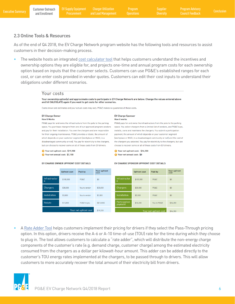Program

**Diversity** 

## <span id="page-7-0"></span>2.3 Online Tools & Resources

As of the end of Q4 2018, the EV Charge Network program website has the following tools and resources to assist customers in their decision-making process.

The website hosts an integrated [cost calculator tool](https://www.pge.com/en_US/residential/solar-and-vehicles/options/clean-vehicles/eligibility/eligibility-tool/eligibility-tool-form.page) that helps customers understand the incentives and ownership options they are eligible for, and projects one-time and annual program costs for each ownership option based on inputs that the customer selects. Customers can use PG&E's established ranges for each cost, or can enter costs provided in vendor quotes. Customers can edit their cost inputs to understand their obligations under different scenarios.

### Your costs

Your ownership option(s) and approximate costs to participate in EV Charge Network are below. Change the values entered above and hit CALCULATE again if you want to get costs for other scenarios.

Costs shown are estimates and your actual costs may vary. PG&E makes no quarantee of these costs.

#### **EV Charge Owner How It Works**

Rebate

PG&E pays for and owns the infrastructure from the pole to the parking space. You purchase chargers from one of our approved program vendors and pay for their installation. You own the chargers and are responsible for their ongoing maintenance. PG&E provides a rebate, the amount of which depends on your customer segment (workplace or MUD; in a disadvantaged community or not). You pay for electricity to the chargers, but can choose to recover some or all of these costs from EV drivers.

S Your net upfront cost: \$19,200 S Your net annual cost: \$2,100

#### **EV Charge Sponsor How it works**

PG&E pays for and owns the infrastructure from the pole to the parking space. You select chargers from a limited list of vendors, and PG&E buys. installs, owns and maintains the chargers. You submit a participation payment, the amount of which depends on your customer segment (workplace or MUD; in a disadvantaged community or not) and the cost of the chargers you selected. You pay for electricity to the chargers, but can choose to recover some or all of these costs from EV drivers.

S Your net upfront cost: \$16,200

\$16,200

You to PG&E

ے<br>Nour net unfront cos

\$16,200

\$16,200

**C** Your net annual cost: \$0

#### EV CHARGE SPONSOR UPFRONT COST DETAILS **Your upfront**<br>cost Your upfront<br>cost **Upfront cost** Paid by **Upfront cost** Paid by Infrastructur Infrastructur  $$100.000$ PG&E so PG&E \$100,000  $$0$ Chargers \$30,000 \$30,000 Chargers  $$30.000$ PG&E so. You to vendor Installation \$3,000 You to vendor \$3,000 \$3,000 PG&F  $$0$ Participation<br>payment

 $(S13,800)$ 

\$19,200

EV CHARGE OWNER UPFRONT COST DETAILS

\$13,800

PG&E to you

Your net upfront cost

A [Rate Adder Tool](https://www.pge.com/en_US/residential/solar-and-vehicles/options/clean-vehicles/pricing/ev-charge-network-rate-adder.page) helps customers implement their pricing for drivers if they select the Pass-Through pricing option. In this option, drivers receive the A-6 or A-10 time-of-use (TOU) rate for the time during which they choose to plug in. The tool allows customers to calculate a "rate adder", which will distribute the non-energy charge components of the customer's rate (e.g. demand charge, customer charge) among the estimated electricity consumed from the chargers as a dollar per kilowatt-hour amount. This adder can be added directly to the customer's TOU energy rates implemented at the chargers, to be passed through to drivers. This will allow customers to more accurately recover the total amount of their electricity bill from drivers.

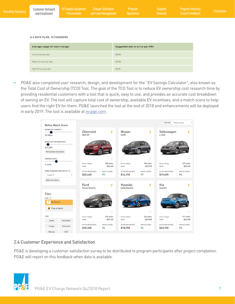<span id="page-8-0"></span>

| <b>Executive Summary</b> | and Enrollment | Customer Outreach EV Supply Equipment Charger Utilization<br>Procurement | and Load Management Operations | <b>Program</b> | <b>Supplier</b><br><b>N</b> Diversity | <b>Program Advisory</b><br><b>Council Feedback</b> | <b>Conclusion</b> |
|--------------------------|----------------|--------------------------------------------------------------------------|--------------------------------|----------------|---------------------------------------|----------------------------------------------------|-------------------|
|                          |                |                                                                          |                                |                |                                       |                                                    |                   |

#### **A-6 RATE PLAN, 10 CHARGERS**

| Average usage for each charger | Suggested add-on price per kWh |
|--------------------------------|--------------------------------|
| Low (2 hours per day)          | \$0,005                        |
| Medium (6 hours per day)       | \$0.002                        |
| High (10 hours per day)        | \$0.001                        |

• PG&E also completed user research, design, and development for the "EV Savings Calculator", also known as the Total Cost of Ownership (TCO) Tool. The goal of the TCO Tool is to reduce EV ownership cost research time by providing residential customers with a tool that is quick, easy to use, and provides an accurate cost breakdown of owning an EV. The tool will capture total cost of ownership, available EV incentives, and a match score to help users find the right EV for them. PG&E launched the tool at the end of 2018 and enhancements will be deployed in early 2019. The tool is available at [ev.pge.com.](http://ev.pge.com)



## 2.4 Customer Experience and Satisfaction

PG&E is developing a customer satisfaction survey to be distributed to program participants after project completion. PG&E will report on this feedback when data is available.

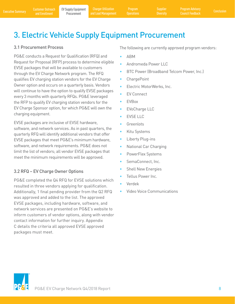Program

## <span id="page-9-0"></span>3. Electric Vehicle Supply Equipment Procurement

## 3.1 Procurement Process

 charging equipment. PG&E conducts a Request for Qualification (RFQ) and Request for Proposal (RFP) process to determine eligible EVSE packages that will be available to customers through the EV Charge Network program. The RFQ qualifies EV charging station vendors for the EV Charge Owner option and occurs on a quarterly basis. Vendors will continue to have the option to qualify EVSE packages every 3 months with quarterly RFQs. PG&E leveraged the RFP to qualify EV charging station vendors for the EV Charge Sponsor option, for which PG&E will own the

EVSE packages are inclusive of EVSE hardware, software, and network services. As in past quarters, the quarterly RFQ will identify additional vendors that offer EVSE packages that meet PG&E's minimum hardware, software, and network requirements. PG&E does not limit the list of vendors; all vendor EVSE packages that meet the minimum requirements will be approved.

## 3.2 RFQ – EV Charge Owner Options

PG&E completed the Q4 RFQ for EVSE solutions which resulted in three vendors applying for qualification. Additionally, 1 final pending provider from the Q2 RFQ was approved and added to the list. The approved EVSE packages, including hardware, software, and network services are presented on PG&E's website to inform customers of vendor options, along with vendor contact information for further inquiry. Appendix C details the criteria all approved EVSE approved packages must meet.

The following are currently approved program vendors:

- ABM
- Andromeda Power LLC
- BTC Power (Broadband Telcom Power, Inc.)
- ChargePoint
- Electric MotorWerks, Inc.
- EV Connect
- EVBox
- EVoCharge LLC
- **EVSE LLC**
- **Greenlots**
- Kitu Systems
- Liberty Plug-ins
- National Car Charging
- PowerFlex Systems
- SemaConnect, Inc.
- **Shell New Energies**
- Tellus Power Inc.
- Verdek
- Video Voice Communications

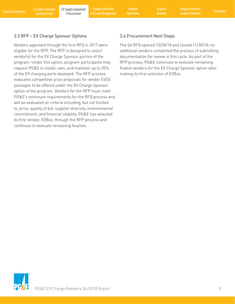<span id="page-10-0"></span>Executive Summary Customer Outreach EV Supply Equipment Charger Utilization Program Supplier Program Advisory<br>Executive Summary [and Enrollment](#page-4-0) Procurement and Load Management Operations Diversity Council Feedback Conclusio Charger Utilization and Load Management

Program

**Diversity** 

## 3.3 RFP – EV Charge Sponsor Options

Vendors approved through the first RFQ in 2017 were eligible for the RFP. The RFP is designed to select vendor(s) for the EV Charge Sponsor portion of the program. Under this option, program participants may request PG&E to install, own, and maintain up to 35% of the EV charging ports deployed. The RFP process evaluates competitive price proposals for vendor EVSE packages to be offered under the EV Charge Sponsor option of the program. Vendors for the RFP must meet PG&E's minimum requirements for the RFQ process and will be evaluated on criteria including, but not limited to, price, quality of bid, supplier diversity, environmental commitment, and financial stability. PG&E has selected its first vendor, EVBox, through the RFP process and continues to evaluate remaining finalists.

## 3.4 Procurement Next Steps

The Q4 RFQ opened 10/30/18 and closed 11/30/18; no additional vendors completed the process of submitting documentation for review in this cycle. As part of the RFP process, PG&E continues to evaluate remaining finalist vendors for the EV Charge Sponsor option after making its first selection of EVBox.

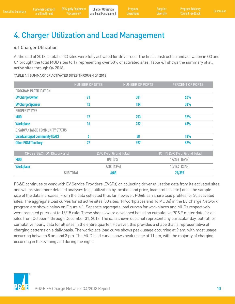# <span id="page-11-0"></span>4. Charger Utilization and Load Management

## 4.1 Charger Utilization

At the end of 2018, a total of 33 sites were fully activated for driver use. The final construction and activation in Q3 and Q4 brought the total MUD sites to 17 representing over 50% of activated sites. Table 4.1 shows the summary of all active sites through Q4 2018.

### TABLE 4.1 SUMMARY OF ACTIVATED SITES THROUGH Q4 2018

|                                       | NUMBER OF SITES | NUMBER OF PORTS | PERCENT OF PORTS |
|---------------------------------------|-----------------|-----------------|------------------|
| <b>PROGRAM PARTICIPATION</b>          |                 |                 |                  |
| <b>EV Charge Owner</b>                | 21              | 301             | 62%              |
| <b>EV Charge Sponsor</b>              | 12              | 184             | 38%              |
| <b>PROPERTY TYPE</b>                  |                 |                 |                  |
| <b>MUD</b>                            | 17              | 253             | 52%              |
| <b>Workplace</b>                      | 16              | 232             | 48%              |
| <b>DISADVANTAGED COMMUNITY STATUS</b> |                 |                 |                  |
| <b>Disadvantaged Community (DAC)</b>  |                 | 88              | 18%              |
| <b>Other PG&amp;E Territory</b>       | 27              | 397             | 82%              |

| <b>CROSS SECTION (Sites/Ports)</b> | DAC (% of Grand Total) | NOT IN DAC (% of Grand Total) |
|------------------------------------|------------------------|-------------------------------|
| <b>MUD</b>                         | $0/0$ $(0\%)$          | $17/253$ $(52\%)$             |
| <b>Workplace</b>                   | $6/88$ $(18%)$         | $10/144$ $(30\%)$             |
| <b>SUB TOTAL</b>                   | 6/88                   | 27/397                        |

PG&E continues to work with EV Service Providers (EVSPs) on collecting driver utilization data from its activated sites and will provide more detailed analyses (e.g., utilization by location and price, load profiles, etc.) once the sample size of the data increases. From the data collected thus far, however, PG&E can share load profiles for 30 activated sites. The aggregate load curves for all active sites (30 sites; 14 workplaces and 16 MUDs) in the EV Charge Network program are shown below on Figure 4.1. Separate aggregate load curves for workplaces and MUDs respectively were redacted pursuant to 15/15 rule. These shapes were developed based on cumulative PG&E meter data for all sites from October 1 through December 31, 2018. The data shown does not represent any particular day, but rather cumulative hourly data for all sites in the entire quarter. However, this provides a shape that is representative of charging patterns on a daily basis. The workplace load curve shows peak usage occurring at 9 am, with most usage occurring between 8 am and 3 pm. The MUD load curve shows peak usage at 11 pm, with the majority of charging occurring in the evening and during the night.

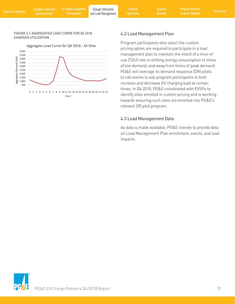#### <span id="page-12-0"></span>FIGURE 4.1 AGGREGATED LOAD CURVE FOR Q4 2018 CHARGER UTILIZATION



## 4.2 Load Management Plan

Program participants who select the custom pricing option are required to participate in a load management plan to maintain the intent of a time-of use (TOU) rate in shifting energy consumption to times of low demand, and away from times of peak demand. PG&E will leverage its demand response (DR) pilots to call events to ask program participants to both increase and decrease EV charging load at certain times. In Q4 2018, PG&E coordinated with EVSPs to identify sites enrolled in custom pricing and is working towards ensuring such sites are enrolled into PG&E's relevant DR pilot program.

## 4.3 Load Management Data

As data is made available, PG&E intends to provide data on Load Management Plan enrollment, events, and load impacts.

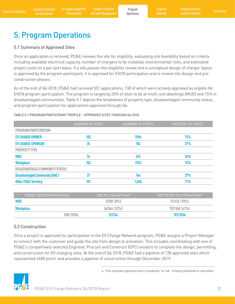## <span id="page-13-0"></span>5. Program Operations

## 5.1 Summary of Approved Sites

Once an application is received, PG&E reviews the site for eligibility, evaluating site feasibility based on criteria including available electrical capacity, number of chargers to be installed, environmental risks, and estimated project costs on a per-port basis. If a site passes this eligibility review and a conceptual design of charger layout is approved by the program participant, it is approved for EVCN participation and is moved into design and preconstruction phases.

As of the end of Q4 2018, PG&E had received 551 applications, 138 of which were actively approved as eligible for EVCN program participation. The program is targeting 20% of sites to be at multi-unit dwellings (MUD) and 15% in disadvantaged communities. Table 5.1 depicts the breakdown of property type, disadvantaged community status, and program participation for applications approved through Q4.

### TABLE 5.1 PROGRAM PARTICIPANT PROFILE – APPROVED SITES THROUGH Q4 2018

|                                       | <b>NUMBER OF SITES</b> | NUMBER OF PORTS | PERCENT OF PORTS |
|---------------------------------------|------------------------|-----------------|------------------|
| <b>PROGRAM PARTICIPATION</b>          |                        |                 |                  |
| <b>EV CHARGE OWNER</b>                | 103                    | 1896            | 73%              |
| <b>EV CHARGE SPONSOR</b>              | 35                     | 704             | 27%              |
| <b>PROPERTY TYPE</b>                  |                        |                 |                  |
| <b>MUD</b>                            | 34                     | 676             | 34%              |
| <b>Workplace</b>                      | 104                    | 1924            | 74%              |
| <b>DISADVANTAGED COMMUNITY STATUS</b> |                        |                 |                  |
| <b>Disadvantaged Community (DAC)</b>  | 37                     | 764             | 27%              |
| <b>Other PG&amp;E Territory</b>       | 101                    | 1,836           | 71%              |

| <b>CROSS SECTION (Sites/Ports)</b> | DAC 1% of Grand Total) , | NOT IN DAC (% of Grand Total) |
|------------------------------------|--------------------------|-------------------------------|
| <b>MUD</b>                         | 3/200(8%)                | $31/476$ $(18\%)$             |
| <b>Workplace</b>                   | $34/564$ (22%)           | $70/1360$ $(41\%)$            |
| <b>SUB TOTAL</b>                   | 37/764                   | 101/1836                      |

## 5.2 Construction

Once a project is approved for participation in the EV Charge Network program, PG&E assigns a Project Manager to connect with the customer and guide the site from design to activation. This includes coordinating with one of PG&E's competitively selected Engineer, Procure and Construct (EPC) vendors to complete the design, permitting, and construction for EV charging sites. At the end of Q4 2018, PG&E had a pipeline of 138 approved sites which represented 2600 ports<sup>4</sup> and provides a pipeline of construction through December 2019.



4. This excludes approved sites considered "at risk" of being waitlisted or cancelled.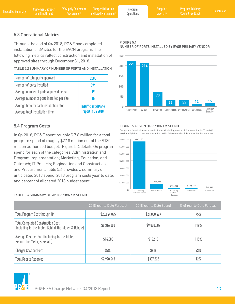#### <span id="page-14-0"></span>Customer Outreach Executive Summary Customer Outreach EV Supply Equipment Charger Utilization Program Program Supplier Program Advisory<br>Executive Summary [and Enrollment](#page-4-0) Procurement and Load Management Operations Diversity Council Feedback C **Procurement** Charger Utilization and Load Management Program **Operations** Program Advisory Council Feedback

FIGURE 5.1

## 5.3 Operational Metrics

Through the end of Q4 2018, PG&E had completed installation of 39 sites for the EVCN program. The following metrics reflect construction and installation of approved sites through December 31, 2018.

| TABLE 5.2 SUMMARY OF NUMBER OF PORTS AND INSTALLATION |  |  |  |
|-------------------------------------------------------|--|--|--|

| Number of total ports approved             | 2600                 |
|--------------------------------------------|----------------------|
| Number of ports installed                  | 594                  |
| Average number of ports approved per site  | 19                   |
| Average number of ports installed per site | 15                   |
| Average time for each installation step    | Insufficient data to |
| Average total installation time            | report in Q4 2018    |

## 5.4 Program Costs

In Q4 2018, PG&E spent roughly \$ 7.8 million for a total program spend of roughly \$27.8 million out of the \$130 million authorized budget. Figure 5.4 details Q4 program spend for each of the categories, Administration and Program Implementation; Marketing, Education, and Outreach; IT Projects; Engineering and Construction, and Procurement. Table 5.4 provides a summary of anticipated 2018 spend, 2018 program costs year to date, and percent of allocated 2018 budget spent.

### TABLE 5.4 SUMMARY OF 2018 PROGRAM SPEND





### FIGURE 5.4 EVCN Q4 PROGRAM SPEND

Design and installation costs are included within Engineering & Construction in Q3 and Q4. In Q1 and Q2 those costs were included within Administration & Program Implementation



|                                                                                                  | 2018 Year to Date Forecast | 2018 Year to Date Spend | % of Year to Date Forecast |
|--------------------------------------------------------------------------------------------------|----------------------------|-------------------------|----------------------------|
| Total Program Cost through Q4                                                                    | \$28,044,895               | \$21,000,429            | 75%                        |
| <b>Total Completed Construction Cost</b><br>(including To-the-Meter, Behind-the-Meter, & Rebate) | \$8,316,000                | \$9,870,882             | 119%                       |
| Average Cost per Port (including To-the-Meter,<br>Behind-the-Meter, & Rebate)                    | \$14,000                   | \$16,618                | 119%                       |
| Charger Cost per Port                                                                            | \$985                      | \$918                   | 93%                        |
| <b>Total Rebate Reserved</b>                                                                     | \$2,920,648                | \$337,525               | 12%                        |

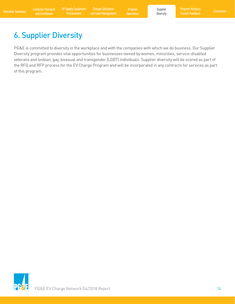<span id="page-15-0"></span>Executive Summary Customer Outreach EV Supply Equipment Charger Utilization Program Busines Supplier Program Advisory<br>Executive Summary [and Enrollment](#page-4-0) Procurement and Load Management Operations Diversity Council Feedback C Charger Utilization and Load Management

Program

Supplier **Diversity** 

## 6. Supplier Diversity

PG&E is committed to diversity in the workplace and with the companies with which we do business. Our Supplier Diversity program provides vital opportunities for businesses owned by women, minorities, service-disabled veterans and lesbian, gay, bisexual and transgender (LGBT) individuals. Supplier diversity will be scored as part of the RFQ and RFP process for the EV Charge Program and will be incorporated in any contracts for services as part of this program.

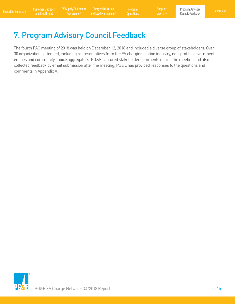## <span id="page-16-0"></span>7. Program Advisory Council Feedback

The fourth PAC meeting of 2018 was held on December 12, 2018 and included a diverse group of stakeholders. Over 30 organizations attended, including representatives from the EV charging station industry, non-profits, government entities and community choice aggregators. PG&E captured stakeholder comments during the meeting and also collected feedback by email submission after the meeting. PG&E has provided responses to the questions and comments in Appendix A.

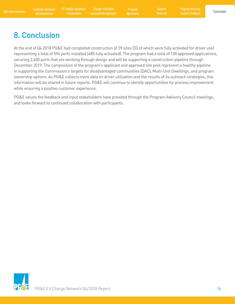Program **Operations**  **Diversity** 

## <span id="page-17-0"></span>8. Conclusion

At the end of Q4 2018 PG&E had completed construction of 39 sites (33 of which were fully activated for driver use) representing a total of 594 ports installed (485 fully activated). The program had a total of 138 approved applications, securing 2,600 ports that are working through design and will be supporting a construction pipeline through December 2019. The composition of the program's applicant and approved site pool represent a healthy pipeline in supporting the Commission's targets for disadvantaged communities (DAC), Multi-Unit Dwellings, and program ownership options. As PG&E collects more data on driver utilization and the results of its outreach strategies, this information will be shared in future reports. PG&E will continue to identify opportunities for process improvement while ensuring a positive customer experience.

PG&E values the feedback and input stakeholders have provided through the Program Advisory Council meetings, and looks forward to continued collaboration with participants.

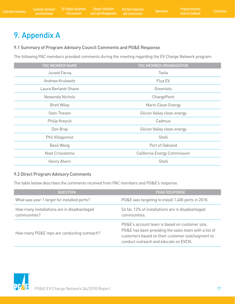## <span id="page-18-0"></span>9. Appendix A

## 9.1 Summary of Program Advisory Council Comments and PG&E Response

The following PAC members provided comments during the meeting regarding the EV Charge Network program:

| PAC MEMBER NAME         | PAC MEMBER ORGANIZATION      |
|-------------------------|------------------------------|
| Junaid Faruq            | Tesla                        |
| <b>Andrew Krulewitz</b> | Flux EV                      |
| Laura Berland-Shane     | Greenlots                    |
| Newonda Nichols         | ChargePoint                  |
| <b>Brett Wiley</b>      | Marin Clean Energy           |
| Sven Thesen             | Silicon Valley clean energy  |
| Philip Kreycik          | Cadmus                       |
| Don Bray                | Silicon Valley clean energy  |
| Phil Villagomez         | Shell                        |
| <b>Basil Wong</b>       | Port of Oakland              |
| Noel Crisostomo         | California Energy Commission |
| Henry Ahern             | Shell                        |

## 9.2 Direct Program Advisory Comments

The table below describes the comments received from PAC members and PG&E's response.

| <b>QUESTION</b>                                             | <b>PG&amp;E RESPONSE</b>                                                                                                                                                                              |
|-------------------------------------------------------------|-------------------------------------------------------------------------------------------------------------------------------------------------------------------------------------------------------|
| What was year 1 target for installed ports?                 | PG&E was targeting to install 1,400 ports in 2018.                                                                                                                                                    |
| How many installations are in disadvantaged<br>communities? | So far, 12% of installations are in disadvantaged<br>communities.                                                                                                                                     |
| How many PG&E reps are conducting outreach?                 | PG&E's account team is based on customer size,<br>PG&E has been providing the sales team with a list of<br>customers based on their customer size/segment to<br>conduct outreach and educate on EVCN. |

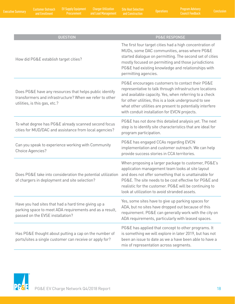| QUESTION                                                                                                                                            | <b>PG&amp;E RESPONSE</b>                                                                                                                                                                                                                                                                                                                    |
|-----------------------------------------------------------------------------------------------------------------------------------------------------|---------------------------------------------------------------------------------------------------------------------------------------------------------------------------------------------------------------------------------------------------------------------------------------------------------------------------------------------|
| How did PG&E establish target cities?                                                                                                               | The first four target cities had a high concentration of<br>MUDs, some DAC communities, areas where PG&E<br>started dialogue on permitting. The second set of cities<br>mostly focused on permitting and those jurisdictions<br>PG&E had existing knowledge and relationships with<br>permitting agencies.                                  |
| Does PG&E have any resources that helps public identify<br>transformers and infrastructure? When we refer to other<br>utilities, is this gas, etc.? | PG&E encourages customers to contact their PG&E<br>representative to talk through infrastructure locations<br>and available capacity. Yes, when referring to a check<br>for other utilities, this is a look underground to see<br>what other utilities are present to potentially interfere<br>with conduit installation for EVCN projects. |
| To what degree has PG&E already scanned second focus<br>cities for MUD/DAC and assistance from local agencies?                                      | PG&E has not done this detailed analysis yet. The next<br>step is to identify site characteristics that are ideal for<br>program participation.                                                                                                                                                                                             |
| Can you speak to experience working with Community<br>Choice Agencies?                                                                              | PG&E has engaged CCAs regarding EVCN<br>implementation and customer outreach. We can help<br>provide success stories in CCA territories.                                                                                                                                                                                                    |
| Does PG&E take into consideration the potential utilization<br>of chargers in deployment and site selection?                                        | When proposing a larger package to customer, PG&E's<br>application management team looks at site layout<br>and does not offer something that is unattainable for<br>PG&E. The site needs to be cost effective for PG&E and<br>realistic for the customer. PG&E will be continuing to<br>look at utilization to avoid stranded assets.       |
| Have you had sites that had a hard time giving up a<br>parking space to meet ADA requirements and as a result,<br>passed on the EVSE installation?  | Yes, some sites have to give up parking spaces for<br>ADA, but no sites have dropped out because of this<br>requirement. PG&E can generally work with the city on<br>ADA requirements, particularly with leased spaces.                                                                                                                     |
| Has PG&E thought about putting a cap on the number of<br>ports/sites a single customer can receive or apply for?                                    | PG&E has applied that concept to other programs. It<br>is something we will explore in later 2019, but has not<br>been an issue to date as we a have been able to have a<br>mix of representation across segments.                                                                                                                          |

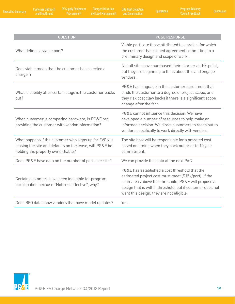| <b>QUESTION</b>                                                                                                                                         | <b>PG&amp;E RESPONSE</b>                                                                                                                                                                                                                                                  |
|---------------------------------------------------------------------------------------------------------------------------------------------------------|---------------------------------------------------------------------------------------------------------------------------------------------------------------------------------------------------------------------------------------------------------------------------|
| What defines a viable port?                                                                                                                             | Viable ports are those attributed to a project for which<br>the customer has signed agreement committing to a<br>preliminary design and scope of work.                                                                                                                    |
| Does viable mean that the customer has selected a<br>charger?                                                                                           | Not all sites have purchased their charger at this point,<br>but they are beginning to think about this and engage<br>vendors.                                                                                                                                            |
| What is liability after certain stage is the customer backs<br>out?                                                                                     | PG&E has language in the customer agreement that<br>binds the customer to a degree of project scope, and<br>they risk cost claw backs if there is a significant scope<br>change after the fact.                                                                           |
| When customer is comparing hardware, is PG&E rep<br>providing the customer with vendor information?                                                     | PG&E cannot influence this decision. We have<br>developed a number of resources to help make an<br>informed decision. We direct customers to reach out to<br>vendors specifically to work directly with vendors.                                                          |
| What happens if the customer who signs up for EVCN is<br>leasing the site and defaults on the lease, will PG&E be<br>holding the property owner liable? | The site host will be responsible for a prorated cost<br>based on timing when they back out prior to 10 year<br>commitment.                                                                                                                                               |
| Does PG&E have data on the number of ports per site?                                                                                                    | We can provide this data at the next PAC.                                                                                                                                                                                                                                 |
| Certain customers have been ineligible for program<br>participation because "Not cost effective", why?                                                  | PG&E has established a cost threshold that the<br>estimated project cost must meet (\$15k/port). If the<br>estimate is above this threshold, PG&E will propose a<br>design that is within threshold, but if customer does not<br>want this design, they are not eligible. |
| Does RFQ data show vendors that have model updates?                                                                                                     | Yes.                                                                                                                                                                                                                                                                      |

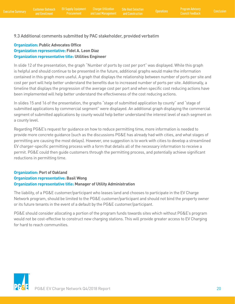## <span id="page-21-0"></span>9.3 Additional comments submitted by PAC stakeholder, provided verbatim

## **Organization: Public Advocates Office Organization representative: Fidel A. Leon Diaz Organization representative title: Utilities Engineer**

In slide 12 of the presentation, the graph "Number of ports by cost per port" was displayed. While this graph is helpful and should continue to be presented in the future, additional graphs would make the information contained in this graph more useful. A graph that displays the relationship between number of ports per site and cost per port will help better understand the benefits due to increased number of ports per site. Additionally, a timeline that displays the progression of the average cost per port and when specific cost reducing actions have been implemented will help better understand the effectiveness of the cost reducing actions.

In slides 15 and 16 of the presentation, the graphs "stage of submitted application by county" and "stage of submitted applications by commercial segment" were displayed. An additional graph displaying the commercial segment of submitted applications by county would help better understand the interest level of each segment on a county level.

Regarding PG&E's request for guidance on how to reduce permitting time, more information is needed to provide more concrete guidance (such as the discussions PG&E has already had with cities, and what stages of permitting are causing the most delays). However, one suggestion is to work with cities to develop a streamlined EV charger-specific permitting process with a form that details all of the necessary information to receive a permit. PG&E could then guide customers through the permitting process, and potentially achieve significant reductions in permitting time.

## **Organization: Port of Oakland Organization representative: Basil Wong Organization representative title: Manager of Utility Administration**

The liability, of a PG&E customer/participant who leases land and chooses to participate in the EV Charge Network program, should be limited to the PG&E customer/participant and should not bind the property owner or its future tenants in the event of a default by the PG&E customer/participant.

PG&E should consider allocating a portion of the program funds towards sites which without PG&E's program would not be cost-effective to construct new charging stations. This will provide greater access to EV Charging for hard to reach communities.

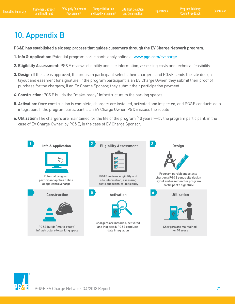## <span id="page-22-0"></span>10. Appendix B

**PG&E has established a six step process that guides customers through the EV Charge Network program.** 

- **1. Info & Application:** Potential program participants apply online at <www.pge.com/evcharge>.
- **2. Eligibility Assessment:** PG&E reviews eligibility and site information, assessing costs and technical feasibility.
- **3. Design:** If the site is approved, the program participant selects their chargers, and PG&E sends the site design layout and easement for signature. If the program participant is an EV Charge Owner, they submit their proof of purchase for the chargers; if an EV Charge Sponsor, they submit their participation payment.
- **4. Construction:** PG&E builds the "make-ready" infrastructure to the parking spaces.
- **5. Activation:** Once construction is complete, chargers are installed, activated and inspected, and PG&E conducts data integration. If the program participant is an EV Charge Owner, PG&E issues the rebate
- **6. Utilization:** The chargers are maintained for the life of the program (10 years)—by the program participant, in the case of EV Charge Owner; by PG&E, in the case of EV Charge Sponsor.